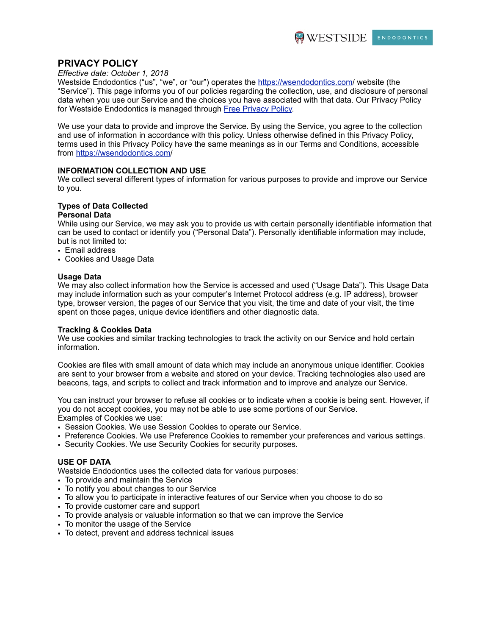# **PRIVACY POLICY**

#### *Effective date: October 1, 2018*

Westside Endodontics ("us", "we", or "our") operates the [https://wsendodontics.com/](https://wsendodontics.com) website (the "Service"). This page informs you of our policies regarding the collection, use, and disclosure of personal data when you use our Service and the choices you have associated with that data. Our Privacy Policy for Westside Endodontics is managed through [Free Privacy Policy.](https://www.freeprivacypolicy.com/free-privacy-policy-generator.php)

We use your data to provide and improve the Service. By using the Service, you agree to the collection and use of information in accordance with this policy. Unless otherwise defined in this Privacy Policy, terms used in this Privacy Policy have the same meanings as in our Terms and Conditions, accessible from [https://wsendodontics.com/](https://wsendodontics.com)

# **INFORMATION COLLECTION AND USE**

We collect several different types of information for various purposes to provide and improve our Service to you.

# **Types of Data Collected**

# **Personal Data**

While using our Service, we may ask you to provide us with certain personally identifiable information that can be used to contact or identify you ("Personal Data"). Personally identifiable information may include, but is not limited to:

- Email address
- Cookies and Usage Data

# **Usage Data**

We may also collect information how the Service is accessed and used ("Usage Data"). This Usage Data may include information such as your computer's Internet Protocol address (e.g. IP address), browser type, browser version, the pages of our Service that you visit, the time and date of your visit, the time spent on those pages, unique device identifiers and other diagnostic data.

# **Tracking & Cookies Data**

We use cookies and similar tracking technologies to track the activity on our Service and hold certain information.

Cookies are files with small amount of data which may include an anonymous unique identifier. Cookies are sent to your browser from a website and stored on your device. Tracking technologies also used are beacons, tags, and scripts to collect and track information and to improve and analyze our Service.

You can instruct your browser to refuse all cookies or to indicate when a cookie is being sent. However, if you do not accept cookies, you may not be able to use some portions of our Service. Examples of Cookies we use:

- Session Cookies. We use Session Cookies to operate our Service.
- Preference Cookies. We use Preference Cookies to remember your preferences and various settings.
- Security Cookies. We use Security Cookies for security purposes.

# **USE OF DATA**

Westside Endodontics uses the collected data for various purposes:

- To provide and maintain the Service
- To notify you about changes to our Service
- To allow you to participate in interactive features of our Service when you choose to do so
- To provide customer care and support
- To provide analysis or valuable information so that we can improve the Service
- To monitor the usage of the Service
- To detect, prevent and address technical issues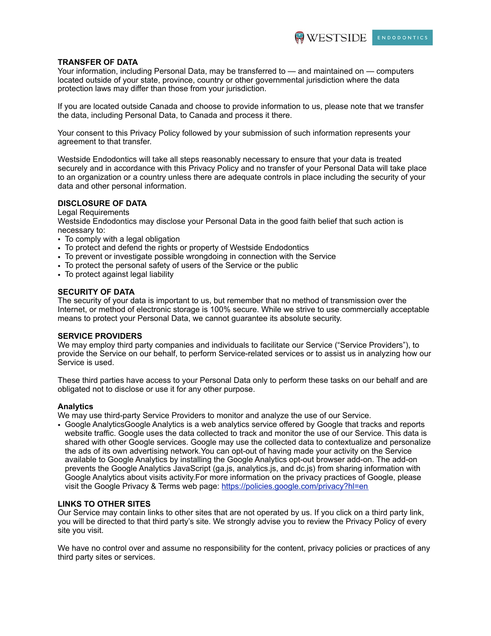

# **TRANSFER OF DATA**

Your information, including Personal Data, may be transferred to — and maintained on — computers located outside of your state, province, country or other governmental jurisdiction where the data protection laws may differ than those from your jurisdiction.

If you are located outside Canada and choose to provide information to us, please note that we transfer the data, including Personal Data, to Canada and process it there.

Your consent to this Privacy Policy followed by your submission of such information represents your agreement to that transfer.

Westside Endodontics will take all steps reasonably necessary to ensure that your data is treated securely and in accordance with this Privacy Policy and no transfer of your Personal Data will take place to an organization or a country unless there are adequate controls in place including the security of your data and other personal information.

#### **DISCLOSURE OF DATA**

#### Legal Requirements

Westside Endodontics may disclose your Personal Data in the good faith belief that such action is necessary to:

- To comply with a legal obligation
- To protect and defend the rights or property of Westside Endodontics
- To prevent or investigate possible wrongdoing in connection with the Service
- To protect the personal safety of users of the Service or the public
- To protect against legal liability

#### **SECURITY OF DATA**

The security of your data is important to us, but remember that no method of transmission over the Internet, or method of electronic storage is 100% secure. While we strive to use commercially acceptable means to protect your Personal Data, we cannot guarantee its absolute security.

#### **SERVICE PROVIDERS**

We may employ third party companies and individuals to facilitate our Service ("Service Providers"), to provide the Service on our behalf, to perform Service-related services or to assist us in analyzing how our Service is used.

These third parties have access to your Personal Data only to perform these tasks on our behalf and are obligated not to disclose or use it for any other purpose.

#### **Analytics**

We may use third-party Service Providers to monitor and analyze the use of our Service.

• Google AnalyticsGoogle Analytics is a web analytics service offered by Google that tracks and reports website traffic. Google uses the data collected to track and monitor the use of our Service. This data is shared with other Google services. Google may use the collected data to contextualize and personalize the ads of its own advertising network.You can opt-out of having made your activity on the Service available to Google Analytics by installing the Google Analytics opt-out browser add-on. The add-on prevents the Google Analytics JavaScript (ga.js, analytics.js, and dc.js) from sharing information with Google Analytics about visits activity.For more information on the privacy practices of Google, please visit the Google Privacy & Terms web page:<https://policies.google.com/privacy?hl=en>

#### **LINKS TO OTHER SITES**

Our Service may contain links to other sites that are not operated by us. If you click on a third party link, you will be directed to that third party's site. We strongly advise you to review the Privacy Policy of every site you visit.

We have no control over and assume no responsibility for the content, privacy policies or practices of any third party sites or services.